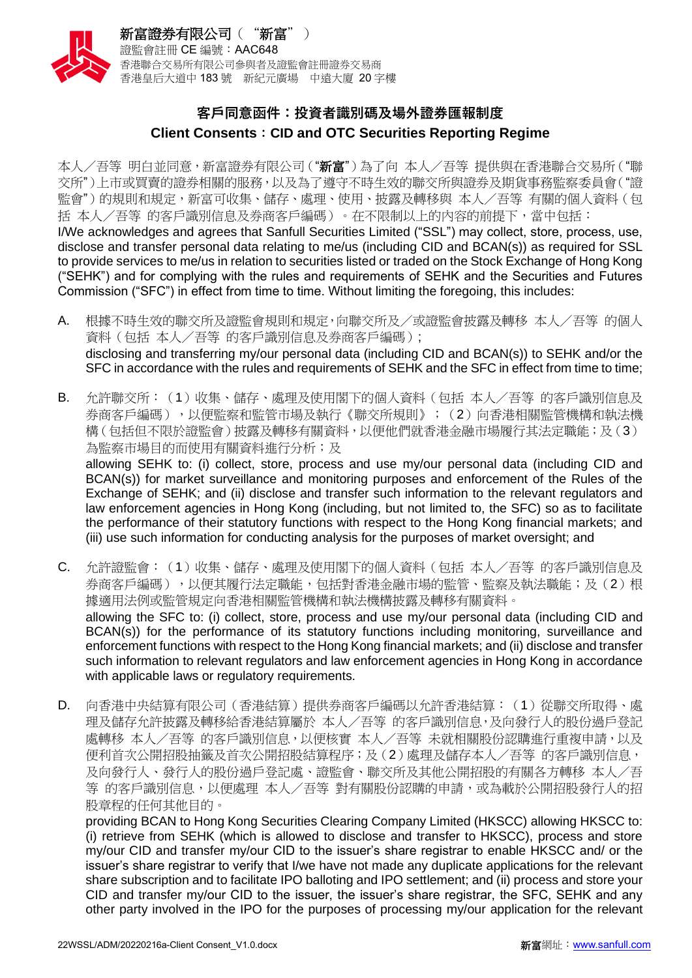

## **客戶同意函件:投資者識別碼及場外證券匯報制度 Client Consents**:**CID and OTC Securities Reporting Regime**

本人/吾等 明白並同意,新富證券有限公司("新富")為了向 本人/吾等 提供與在香港聯合交易所("聯 交所")上市或買賣的證券相關的服務,以及為了遵守不時生效的聯交所與證券及期貨事務監察委員會("證 監會")的規則和規定,新富可收集、儲存、處理、使用、披露及轉移與 本人/吾等 有關的個人資料 (包 括 本人/吾等 的客戶識別信息及券商客戶編碼)。在不限制以上的內容的前提下,當中包括:

I/We acknowledges and agrees that Sanfull Securities Limited ("SSL") may collect, store, process, use, disclose and transfer personal data relating to me/us (including CID and BCAN(s)) as required for SSL to provide services to me/us in relation to securities listed or traded on the Stock Exchange of Hong Kong ("SEHK") and for complying with the rules and requirements of SEHK and the Securities and Futures Commission ("SFC") in effect from time to time. Without limiting the foregoing, this includes:

- A. 根據不時生效的聯交所及證監會規則和規定,向聯交所及/或證監會披露及轉移 本人/吾等 的個人 資料(包括 本人/吾等 的客戶識別信息及券商客戶編碼); disclosing and transferring my/our personal data (including CID and BCAN(s)) to SEHK and/or the SFC in accordance with the rules and requirements of SEHK and the SFC in effect from time to time;
- B. 允許聯交所:(1)收集、儲存、處理及使用閣下的個人資料(包括 本人/吾等 的客戶識別信息及 券商客戶編碼),以便監察和監管市場及執行《聯交所規則》;(2)向香港相關監管機構和執法機 構(包括但不限於證監會)披露及轉移有關資料,以便他們就香港金融市場履行其法定職能;及(3) 為監察市場目的而使用有關資料進行分析;及

allowing SEHK to: (i) collect, store, process and use my/our personal data (including CID and BCAN(s)) for market surveillance and monitoring purposes and enforcement of the Rules of the Exchange of SEHK; and (ii) disclose and transfer such information to the relevant regulators and law enforcement agencies in Hong Kong (including, but not limited to, the SFC) so as to facilitate the performance of their statutory functions with respect to the Hong Kong financial markets; and (iii) use such information for conducting analysis for the purposes of market oversight; and

- C. 允許證監會:(1)收集、儲存、處理及使用閣下的個人資料(包括 本人/吾等 的客戶識別信息及 券商客戶編碼),以便其履行法定職能,包括對香港金融市場的監管、監察及執法職能;及(2)根 據適用法例或監管規定向香港相關監管機構和執法機構披露及轉移有關資料。 allowing the SFC to: (i) collect, store, process and use my/our personal data (including CID and BCAN(s)) for the performance of its statutory functions including monitoring, surveillance and enforcement functions with respect to the Hong Kong financial markets; and (ii) disclose and transfer such information to relevant regulators and law enforcement agencies in Hong Kong in accordance with applicable laws or regulatory requirements.
- D. 向香港中央結算有限公司(香港結算)提供券商客戶編碼以允許香港結算:(1)從聯交所取得、處 理及儲存允許披露及轉移給香港結算屬於 本人/吾等 的客戶識別信息,及向發行人的股份過戶登記 處轉移 本人/吾等 的客戶識別信息,以便核實 本人/吾等 未就相關股份認購進行重複申請,以及 便利首次公開招股抽籤及首次公開招股結算程序;及(2)處理及儲存本人/吾等 的客戶識別信息, 及向發行人、發行人的股份過戶登記處、證監會、聯交所及其他公開招股的有關各方轉移 本人/吾 等 的客戶識別信息,以便處理 本人/吾等 對有關股份認購的申請,或為載於公開招股發行人的招 股章程的任何其他目的。

providing BCAN to Hong Kong Securities Clearing Company Limited (HKSCC) allowing HKSCC to: (i) retrieve from SEHK (which is allowed to disclose and transfer to HKSCC), process and store my/our CID and transfer my/our CID to the issuer's share registrar to enable HKSCC and/ or the issuer's share registrar to verify that I/we have not made any duplicate applications for the relevant share subscription and to facilitate IPO balloting and IPO settlement; and (ii) process and store your CID and transfer my/our CID to the issuer, the issuer's share registrar, the SFC, SEHK and any other party involved in the IPO for the purposes of processing my/our application for the relevant